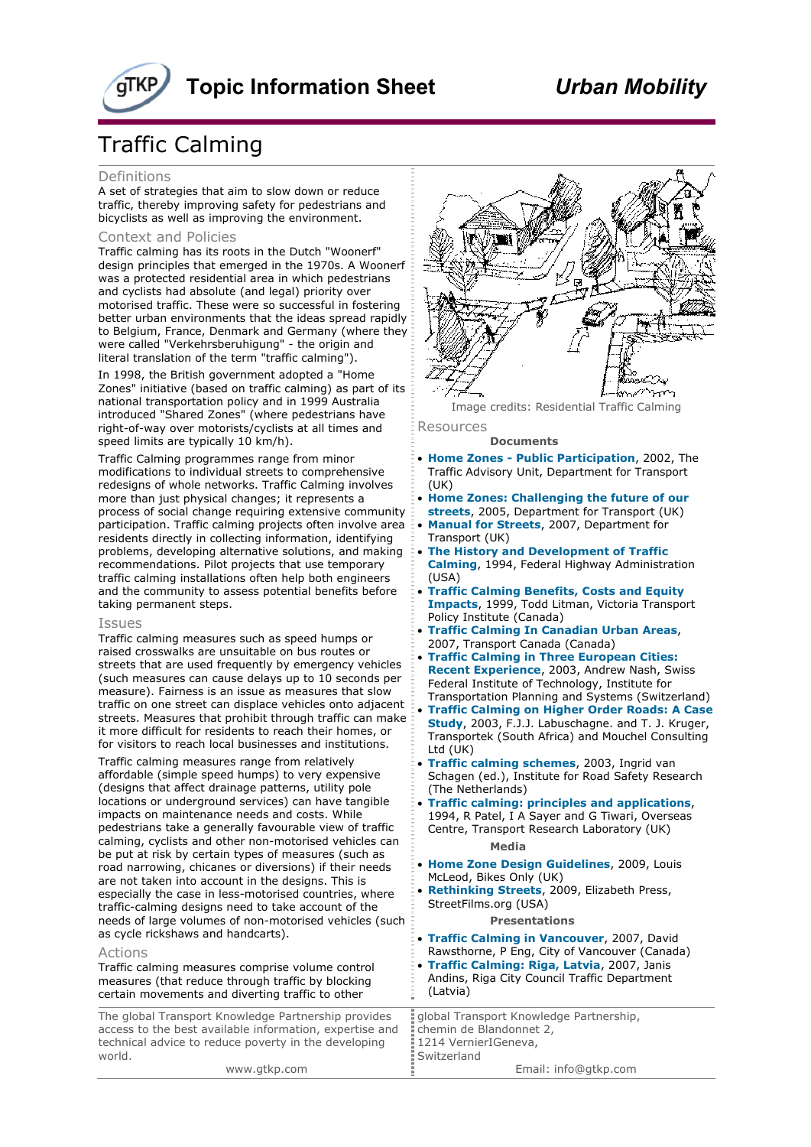# **Topic Information Sheet** *Urban Mobility*

## Traffic Calming

### Definitions

A set of strategies that aim to slow down or reduce traffic, thereby improving safety for pedestrians and bicyclists as well as improving the environment.

## Context and Policies

Traffic calming has its roots in the Dutch "Woonerf" design principles that emerged in the 1970s. A Woonerf was a protected residential area in which pedestrians and cyclists had absolute (and legal) priority over motorised traffic. These were so successful in fostering better urban environments that the ideas spread rapidly to Belgium, France, Denmark and Germany (where they were called "Verkehrsberuhigung" - the origin and literal translation of the term "traffic calming").

In 1998, the British government adopted a "Home Zones" initiative (based on traffic calming) as part of its national transportation policy and in 1999 Australia introduced "Shared Zones" (where pedestrians have right-of-way over motorists/cyclists at all times and speed limits are typically 10 km/h).

Traffic Calming programmes range from minor modifications to individual streets to comprehensive redesigns of whole networks. Traffic Calming involves more than just physical changes; it represents a process of social change requiring extensive community participation. Traffic calming projects often involve area residents directly in collecting information, identifying problems, developing alternative solutions, and making recommendations. Pilot projects that use temporary traffic calming installations often help both engineers and the community to assess potential benefits before taking permanent steps.

#### Issues

Traffic calming measures such as speed humps or raised crosswalks are unsuitable on bus routes or streets that are used frequently by emergency vehicles (such measures can cause delays up to 10 seconds per measure). Fairness is an issue as measures that slow traffic on one street can displace vehicles onto adjacent streets. Measures that prohibit through traffic can make it more difficult for residents to reach their homes, or for visitors to reach local businesses and institutions.

Traffic calming measures range from relatively affordable (simple speed humps) to very expensive (designs that affect drainage patterns, utility pole locations or underground services) can have tangible impacts on maintenance needs and costs. While pedestrians take a generally favourable view of traffic calming, cyclists and other non-motorised vehicles can be put at risk by certain types of measures (such as road narrowing, chicanes or diversions) if their needs are not taken into account in the designs. This is especially the case in less-motorised countries, where traffic-calming designs need to take account of the needs of large volumes of non-motorised vehicles (such as cycle rickshaws and handcarts).

## The global Transport Knowledge Partnership provides access to the best available information, expertise and (Latvia) Actions Traffic calming measures comprise volume control measures (that reduce through traffic by blocking certain movements and diverting traffic to other

technical advice to reduce poverty in the developing world.



Image credits: Residential Traffic Calming Resources

#### **Documents**

• **[Home Zones - Public Participation](http://www.irf2010.org/knowledge.php?knowledgeid=174)**, 2002, The Traffic Advisory Unit, Department for Transport (UK)

• **[Home Zones: Challenging the future of our](http://www.irf2010.org/knowledge.php?knowledgeid=866)  [streets](http://www.irf2010.org/knowledge.php?knowledgeid=866)**, 2005, Department for Transport (UK) • **[Manual for Streets](http://www.irf2010.org/knowledge.php?knowledgeid=853)**, 2007, Department for Transport (UK)

• **[The History and Development of Traffic](http://www.irf2010.org/knowledge.php?knowledgeid=868)  [Calming](http://www.irf2010.org/knowledge.php?knowledgeid=868)**, 1994, Federal Highway Administration (USA)

• **[Traffic Calming Benefits, Costs and Equity](http://www.irf2010.org/knowledge.php?knowledgeid=872)  [Impacts](http://www.irf2010.org/knowledge.php?knowledgeid=872)**, 1999, Todd Litman, Victoria Transport Policy Institute (Canada)

- **[Traffic Calming In Canadian Urban Areas](http://www.irf2010.org/knowledge.php?knowledgeid=871)**, 2007, Transport Canada (Canada)
- **[Traffic Calming in Three European Cities:](http://www.irf2010.org/knowledge.php?knowledgeid=883)  [Recent Experience](http://www.irf2010.org/knowledge.php?knowledgeid=883)**, 2003, Andrew Nash, Swiss Federal Institute of Technology, Institute for Transportation Planning and Systems (Switzerland) • **[Traffic Calming on Higher Order Roads: A Case](http://www.irf2010.org/knowledge.php?knowledgeid=409) [Study](http://www.irf2010.org/knowledge.php?knowledgeid=409)**, 2003, F.J.J. Labuschagne. and T. J. Kruger,

Transportek (South Africa) and Mouchel Consulting Ltd (UK)

• **[Traffic calming schemes](http://www.irf2010.org/knowledge.php?knowledgeid=870)**, 2003, Ingrid van Schagen (ed.), Institute for Road Safety Research (The Netherlands)

• **[Traffic calming: principles and applications](http://www.irf2010.org/knowledge.php?knowledgeid=869)**, 1994, R Patel, I A Sayer and G Tiwari, Overseas Centre, Transport Research Laboratory (UK) *Media* 

• **[Home Zone Design Guidelines](http://www.irf2010.org/knowledge.php?knowledgeid=867)**, 2009, Louis

McLeod, Bikes Only (UK) • **[Rethinking Streets](http://www.irf2010.org/knowledge.php?knowledgeid=243)**, 2009, Elizabeth Press,

StreetFilms.org (USA)

**Presentations** 

• **[Traffic Calming in Vancouver](http://www.irf2010.org/knowledge.php?knowledgeid=873)**, 2007, David Rawsthorne, P Eng, City of Vancouver (Canada)

• **[Traffic Calming: Riga, Latvia](http://www.irf2010.org/knowledge.php?knowledgeid=874)**, 2007, Janis Andins, Riga City Council Traffic Department

global Transport Knowledge Partnership, chemin de Blandonnet 2, 1214 VernierIGeneva, Switzerland Email: info@gtkp.com

www.gtkp.com